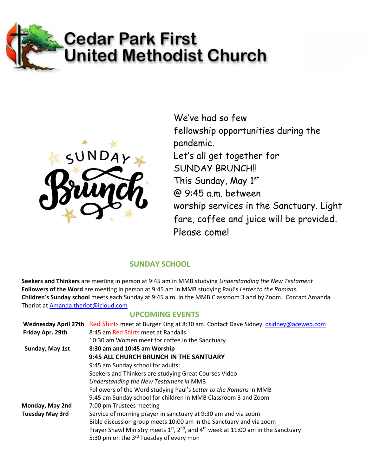



We've had so few fellowship opportunities during the pandemic. Let's all get together for SUNDAY BRUNCH!! This Sunday, May 1st @ 9:45 a.m. between worship services in the Sanctuary. Light fare, coffee and juice will be provided. Please come!

## **SUNDAY SCHOOL**

**Seekers and Thinkers** are meeting in person at 9:45 am in MMB studying *Understanding the New Testament* **Followers of the Word** are meeting in person at 9:45 am in MMB studying Paul's *Letter to the Romans.* **Children's Sunday school** meets each Sunday at 9:45 a.m. in the MMB Classroom 3 and by Zoom. Contact Amanda Theriot at [Amanda.theriot@icloud.com](mailto:Amanda.theriot@icloud.com)

## **UPCOMING EVENTS**

| <b>Wednesday April 27th</b> | Red Shirts meet at Burger King at 8:30 am. Contact Dave Sidney dsidney@aceweb.com                                     |  |
|-----------------------------|-----------------------------------------------------------------------------------------------------------------------|--|
| Friday Apr. 29th            | 8:45 am Red Shirts meet at Randalls                                                                                   |  |
|                             | 10:30 am Women meet for coffee in the Sanctuary                                                                       |  |
| Sunday, May 1st             | 8:30 am and 10:45 am Worship                                                                                          |  |
|                             | 9:45 ALL CHURCH BRUNCH IN THE SANTUARY                                                                                |  |
|                             | 9:45 am Sunday school for adults:                                                                                     |  |
|                             | Seekers and Thinkers are studying Great Courses Video                                                                 |  |
|                             | Understanding the New Testament in MMB                                                                                |  |
|                             | Followers of the Word studying Paul's Letter to the Romans in MMB                                                     |  |
|                             | 9:45 am Sunday school for children in MMB Classroom 3 and Zoom                                                        |  |
| Monday, May 2nd             | 7:00 pm Trustees meeting                                                                                              |  |
| <b>Tuesday May 3rd</b>      | Service of morning prayer in sanctuary at 9:30 am and via zoom                                                        |  |
|                             | Bible discussion group meets 10:00 am in the Sanctuary and via zoom                                                   |  |
|                             | Prayer Shawl Ministry meets 1 <sup>st</sup> , 2 <sup>nd</sup> , and 4 <sup>th</sup> week at 11:00 am in the Sanctuary |  |
|                             | 5:30 pm on the 3rd Tuesday of every mon                                                                               |  |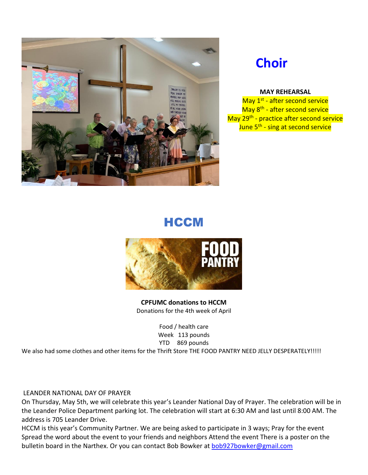

# **Choir**

#### **MAY REHEARSAL**

May 1<sup>st</sup> - after second service May 8<sup>th</sup> - after second service May 29<sup>th</sup> - practice after second service <mark>June 5<sup>th</sup> - sing at second service</mark>

## **HCCM**



**CPFUMC donations to HCCM**  Donations for the 4th week of April

> Food / health care Week 113 pounds YTD 869 pounds

We also had some clothes and other items for the Thrift Store THE FOOD PANTRY NEED JELLY DESPERATELY!!!!!

#### LEANDER NATIONAL DAY OF PRAYER

On Thursday, May 5th, we will celebrate this year's Leander National Day of Prayer. The celebration will be in the Leander Police Department parking lot. The celebration will start at 6:30 AM and last until 8:00 AM. The address is 705 Leander Drive.

HCCM is this year's Community Partner. We are being asked to participate in 3 ways; Pray for the event Spread the word about the event to your friends and neighbors Attend the event There is a poster on the bulletin board in the Narthex. Or you can contact Bob Bowker at [bob927bowker@gmail.com](mailto:bob927bowker@gmail.com)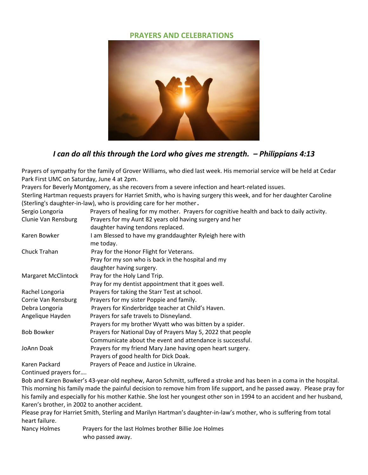### **PRAYERS AND CELEBRATIONS**



## *I can do all this through the Lord who gives me strength. – Philippians 4:13*

Prayers of sympathy for the family of Grover Williams, who died last week. His memorial service will be held at Cedar Park First UMC on Saturday, June 4 at 2pm.

Prayers for Beverly Montgomery, as she recovers from a severe infection and heart-related issues.

Sterling Hartman requests prayers for Harriet Smith, who is having surgery this week, and for her daughter Caroline (Sterling's daughter-in-law), who is providing care for her mother.

| Sergio Longoria            | Prayers of healing for my mother. Prayers for cognitive health and back to daily activity. |  |
|----------------------------|--------------------------------------------------------------------------------------------|--|
| Clunie Van Rensburg        | Prayers for my Aunt 82 years old having surgery and her                                    |  |
|                            | daughter having tendons replaced.                                                          |  |
| Karen Bowker               | I am Blessed to have my granddaughter Ryleigh here with                                    |  |
|                            | me today.                                                                                  |  |
| Chuck Trahan               | Pray for the Honor Flight for Veterans.                                                    |  |
|                            | Pray for my son who is back in the hospital and my                                         |  |
|                            | daughter having surgery.                                                                   |  |
| <b>Margaret McClintock</b> | Pray for the Holy Land Trip.                                                               |  |
|                            | Pray for my dentist appointment that it goes well.                                         |  |
| Rachel Longoria            | Prayers for taking the Starr Test at school.                                               |  |
| Corrie Van Rensburg        | Prayers for my sister Poppie and family.                                                   |  |
| Debra Longoria             | Prayers for Kinderbridge teacher at Child's Haven.                                         |  |
| Angelique Hayden           | Prayers for safe travels to Disneyland.                                                    |  |
|                            | Prayers for my brother Wyatt who was bitten by a spider.                                   |  |
| <b>Bob Bowker</b>          | Prayers for National Day of Prayers May 5, 2022 that people                                |  |
|                            | Communicate about the event and attendance is successful.                                  |  |
| JoAnn Doak                 | Prayers for my friend Mary Jane having open heart surgery.                                 |  |
|                            | Prayers of good health for Dick Doak.                                                      |  |
| Karen Packard              | Prayers of Peace and Justice in Ukraine.                                                   |  |

Continued prayers for….

Bob and Karen Bowker's 43-year-old nephew, Aaron Schmitt, suffered a stroke and has been in a coma in the hospital. This morning his family made the painful decision to remove him from life support, and he passed away. Please pray for his family and especially for his mother Kathie. She lost her youngest other son in 1994 to an accident and her husband, Karen's brother, in 2002 to another accident.

Please pray for Harriet Smith, Sterling and Marilyn Hartman's daughter-in-law's mother, who is suffering from total heart failure.

Nancy Holmes Prayers for the last Holmes brother Billie Joe Holmes who passed away.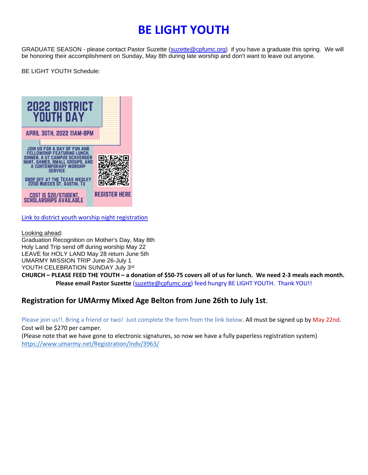# **BE LIGHT YOUTH**

GRADUATE SEASON - please contact Pastor Suzette [\(suzette@cpfumc.org\)](mailto:suzette@cpfumc.org) if you have a graduate this spring. We will be honoring their accomplishment on Sunday, May 8th during late worship and don't want to leave out anyone.

BE LIGHT YOUTH Schedule:



Link [to district youth worship night registration](https://form.jotform.com/213435802609050)

Looking ahead:

Graduation Recognition on Mother's Day, May 8th Holy Land Trip send off during worship May 22 LEAVE for HOLY LAND May 28 return June 5th UMARMY MISSION TRIP June 26-July 1 YOUTH CELEBRATION SUNDAY July 3rd

**CHURCH – PLEASE FEED THE YOUTH – a donation of \$50-75 covers all of us for lunch. We need 2-3 meals each month. Please email Pastor Suzette** [\(suzette@cpfumc.org\)](mailto:suzette@cpfumc.org) feed hungry BE LIGHT YOUTH. Thank YOU!!

## **Registration for UMArmy Mixed Age Belton from June 26th to July 1st**.

Please join us!!. Bring a friend or two! Just complete the form from the link below. All must be signed up by May 22nd. Cost will be \$270 per camper.

(Please note that we have gone to electronic signatures, so now we have a fully paperless registration system) <https://www.umarmy.net/Registration/Indv/3963/>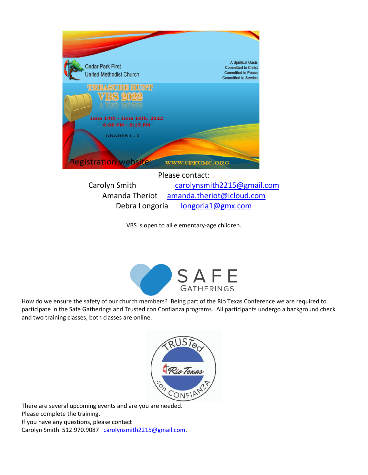

VBS is open to all elementary-age children.



How do we ensure the safety of our church members? Being part of the Rio Texas Conference we are required to participate in the Safe Gatherings and Trusted con Confianza programs. All participants undergo a background check and two training classes, both classes are online.



There are several upcoming events and are you are needed. Please complete the training. If you have any questions, please contact Carolyn Smith 512.970.9087 [carolynsmith2215@gmail.com.](mailto:carolynsmith2215@gmail.com)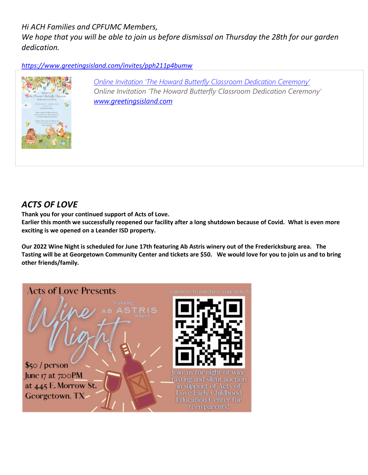*Hi ACH Families and CPFUMC Members,*

*We hope that you will be able to join us before dismissal on Thursday the 28th for our garden dedication.*

*<https://www.greetingsisland.com/invites/pph211p4bumw>*



*[Online Invitation 'The Howard Butterfly Classroom Dedication Ceremony'](https://www.greetingsisland.com/invites/pph211p4bumw) Online Invitation 'The Howard Butterfly Classroom Dedication Ceremony' [www.greetingsisland.com](http://www.greetingsisland.com/)*

## *ACTS OF LOVE*

**Thank you for your continued support of Acts of Love.** 

**Earlier this month we successfully reopened our facility after a long shutdown because of Covid. What is even more exciting is we opened on a Leander ISD property.**

**Our 2022 Wine Night is scheduled for June 17th featuring Ab Astris winery out of the Fredericksburg area. The Tasting will be at Georgetown Community Center and tickets are \$50. We would love for you to join us and to bring other friends/family.**